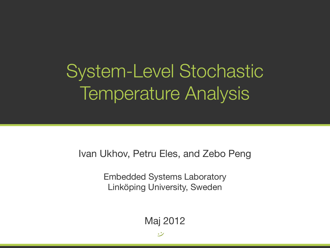## System-Level Stochastic Temperature Analysis

### Ivan Ukhov, Petru Eles, and Zebo Peng

**Embedded Systems Laboratory** Linköping University, Sweden

Maj 2012

 $\rightarrow$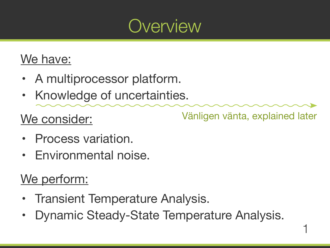1

### Vänligen vänta, explained later



## Overview

## We have:

- A multiprocessor platform.
- Knowledge of uncertainties.

## We consider:

- Process variation.
- Environmental noise.

## We<sup>r</sup>

- Transient Temperature Analysis.
- Dynamic Steady-State Temperature Analysis.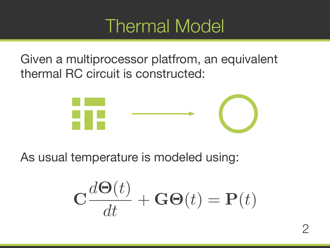

## Given a multiprocessor platfrom, an equivalent thermal RC circuit is constructed:



### As usual temperature is modeled using:



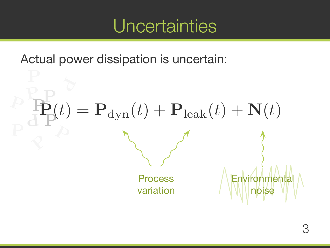## Uncertainties

## Actual power dissipation is uncertain:

# Environmental noise

### $\mathbf{F}(t) = \mathbf{P}_{\mathrm{dyn}}(t) + \mathbf{P}_{\mathrm{leak}}(t) + \mathbf{N}(t)$ P P P  $\overline{\mathbf{d}}$ P

 $\frac{P}{P}$ 

 Process variation

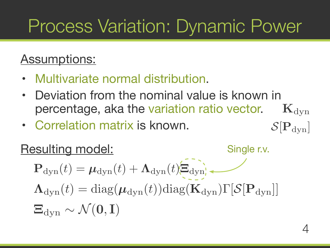## Process Variation: Dynamic Power

## Assumptions:

- Multivariate normal distribution.
- Deviation from the nominal value is known in percentage, aka the variation ratio vector.
- Correlation matrix is known.

4

### Resulting model:

 $\Lambda_{\text{dyn}}(t) = \text{diag}(\mu_{\text{dyn}}(t))\text{diag}(\mathbf{K}_{\text{dyn}})\Gamma[S[\mathbf{P}_{\text{dyn}}]]$  $P_{\text{dyn}}(t) = \mu_{\text{dyn}}(t) + \Lambda_{\text{dyn}}(t)$  =  $\mu_{\text{dyn}}(t)$  +  $\Xi_{\text{dyn}} \sim \mathcal{N}(\mathbf{0}, \mathbf{I})$ 

## $\mathbf{K}_{\text{dyn}}$  $S[\mathbf{P}_{\text{dyn}}]$

Single r.v.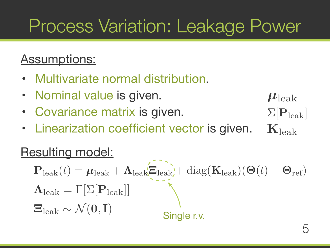## Process Variation: Leakage Power

## Assumptions:

- Multivariate normal distribution.
- Nominal value is given.
- Covariance matrix is given.
- Linearization coefficient vector is given.

5

### Resulting model:

### Single r.v.

 $\mathbf{P}_{\rm leak}(t) = \boldsymbol{\mu}_{\rm leak} + \boldsymbol{\Lambda}_{\rm leak}$  $\boldsymbol{\Xi}_{\rm leak} + \text{diag}(\mathbf{K}_{\rm leak}) (\boldsymbol{\Theta}(t) - \boldsymbol{\Theta}_{\rm ref})$  $\Xi_{\rm leak} \sim \mathcal{N}(\mathbf{0}, \mathbf{I})$  $\Lambda_{\rm leak} = \Gamma[\Sigma[\mathbf{P}_{\rm leak}]]$ 

## $\Sigma[P_{\rm leak}]$  $\mu_{\rm leak}$  $K_{\rm leak}$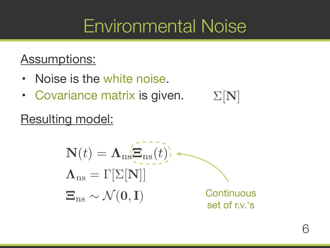## Assumptions:

- Noise is the white noise.
- Covariance matrix is given.

6

## Resulting model:

$$
\mathbf{N}(t) = \mathbf{\Lambda}_{\text{ns}} \overline{\mathbf{E}}_{\text{ns}}(t).
$$

$$
\mathbf{\Lambda}_{\text{ns}} = \Gamma[\Sigma[\mathbf{N}]]
$$

$$
\mathbf{E}_{\text{ns}} \sim \mathcal{N}(\mathbf{0}, \mathbf{I})
$$



## $\Sigma[N]$

### Continuous set of r.v.'s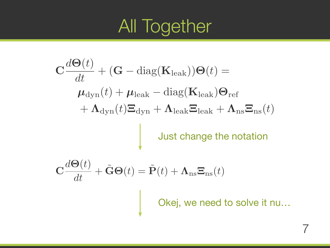## All Together

Just change the notation  $\mathbf{C}\frac{d\mathbf{\Theta}(t)}{dt}$  $+$  (G – diag( $\mathbf{K}_{\text{leak}}$ )) $\Theta(t)$  = dt  $\mu_{\rm dyn}(t) + \mu_{\rm leak} - \rm diag(\mathbf{K}_{\rm leak}) \boldsymbol{\Theta}_{\rm ref}$  $+$   $\mathbf{\Lambda}_\mathrm{dvn}(t)$  $\mathbf{\Xi}_\mathrm{dvn}$  +  $\mathbf{\Lambda}_\mathrm{leak}$  $\mathbf{\Xi}_\mathrm{leak}$  +  $\mathbf{\Lambda}_\mathrm{ns}$  $\mathbf{\Xi}_\mathrm{ns}(t)$  $\mathbf{C} \frac{d \mathbf{\Theta}(t)}{dt} + \tilde{\mathbf{G}} \mathbf{\Theta}$  dt ˜  $\boldsymbol{p}(t) = \mathbf{P}$  $\mathbf{\tilde{P}}$ 

- 
- 
- 
- $(t) + \Lambda_{\text{ns}}\Xi_{\text{ns}}(t)$

Okej, we need to solve it nu...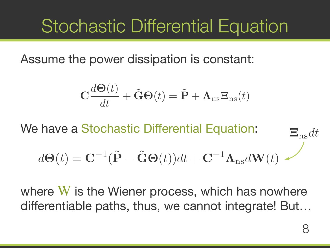## Stochastic Differential Equation

### Assume the power dissipation is constant:

$$
\mathbf{C}\frac{d\mathbf{\Theta}(t)}{dt} + \tilde{\mathbf{G}}\mathbf{\Theta}(t) = \tilde{\mathbf{P}}
$$

We have a Stochastic Differential Equation:

$$
d\Theta(t) = \mathbf{C}^{-1}(\tilde{\mathbf{P}} - \tilde{\mathbf{G}}\Theta(t))dt
$$

where  $W$  is the Wiener process, which has nowhere differentiable paths, thus, we cannot integrate! But...

- 
- $+\Lambda_{\text{ns}}\Xi_{\text{ns}}(t)$
- $(t + C^{-1} \Lambda_{ns} dW(t))$  $E_{\text{ns}}dt$ 
	-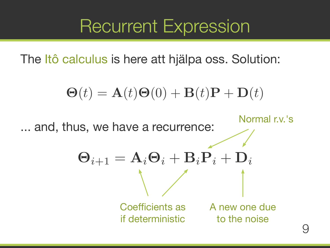## Recurrent Expression

The Itô calculus is here att hjälpa oss. Solution:

$$
\Theta(t) = \mathbf{A}(t)\Theta(0) +
$$

Normal r.v.'s ... and, thus, we have a recurrence:  $\mathbf{B}_i\mathbf{P}_i + \mathbf{D}_i$ A new one due to the noise II ACIQITIII II9N

$$
\Theta_{i+1} = A_i \Theta_i + \begin{matrix} \\ \\ \end{matrix}
$$
  
Coefficients as  
if deterministic

## $\mathbf{B}(t)\mathbf{P} + \mathbf{D}(t)$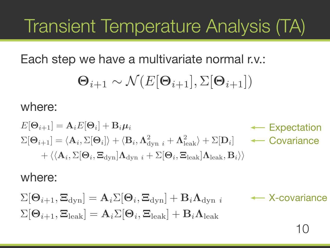## Transient Temperature Analysis (TA)

## Each step we have a multivariate normal r.v.:  $\Theta_{i+1} \sim \mathcal{N}(E[\Theta_{i+1}], \Sigma[\Theta_{i+1}])$

### where:

10

 $E[\Theta_{i+1}] = \mathbf{A}_i E[\Theta_i] + \mathbf{B}_i \mu_i$  $\Sigma[\mathbf{\Theta}_{i+1}] = \langle \mathbf{A}_i, \Sigma[\mathbf{\Theta}_i] \rangle + \langle \mathbf{B}_i, \mathbf{\Lambda}^2_{\text{dyn }i} + \mathbf{\Lambda}^2_{\text{leak}} \rangle + \Sigma[\mathbf{D}_i]$   $\longleftarrow$  Covariance  $\mathcal{B} + \langle \langle \mathbf{A}_i, \Sigma | \mathbf{\Theta}_i, \mathbf{\Xi}_{\text{dyn}} | \mathbf{\Lambda}_{\text{dyn}} |_i + \Sigma | \mathbf{\Theta}_i, \mathbf{\Xi}_{\text{leak}} | \mathbf{\Lambda}_{\text{leak}}, \mathbf{B}_i \rangle \rangle$ 



### where:

 $\sum[\Theta_{i+1}, \Xi_{\text{dyn}}] = \mathbf{A}_i \Sigma[\Theta_i, \Xi_{\text{dyn}}] + \mathbf{B}_i \mathbf{\Lambda}_{\text{dyn}}$  $\Sigma[\Theta_{i+1}, \Xi_{\text{leak}}] = \mathbf{A}_i \Sigma[\Theta_i, \Xi_{\text{leak}}] + \mathbf{B}_i \mathbf{\Lambda}_{\text{leak}}$ 

Expectation



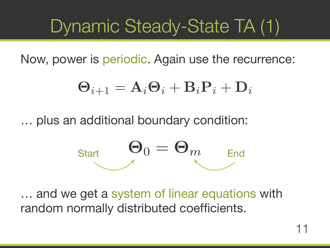## Dynamic Steady-State TA (1)

Now, power is periodic. Again use the recurrence:

$$
\Theta_{i+1} = \mathbf{A}_i \Theta_i +
$$

... plus an additional boundary condition:



... and we get a system of linear equations with random normally distributed coefficients.

## $\mathbf{B}_i \mathbf{P}_i + \mathbf{D}_i$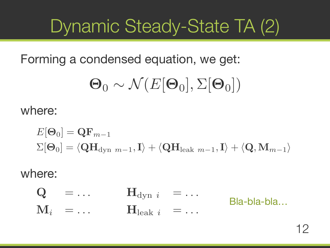## Dynamic Steady-State TA (2)

## Forming a condensed equation, we get:  $\Theta_0 \sim \mathcal{N}(E[\Theta_0], \Sigma[\Theta_0])$

where:

$$
E[\Theta_0] = \mathbf{Q} \mathbf{F}_{m-1}
$$
  

$$
\Sigma[\Theta_0] = \langle \mathbf{Q} \mathbf{H}_{\text{dyn } m-1}, \mathbf{I} \rangle + \langle \mathbf{Q} \mathbf{H}_{\text{le}}
$$

### where:  $\mathbf{H}_{\mathrm{dyn}}$   $i = \ldots$  $\mathbf{H}_{\mathrm{leak}}$   $i = \ldots$  $\mathbf{Q}$   $=$   $\ldots$  $\mathbf{M}_i$   $\;=\; \ldots$

### $_{\text{eak }}m-1,\textbf{I}\rangle + \langle \textbf{Q},\textbf{M}_{m-1}\rangle$

### Bla-bla-bla...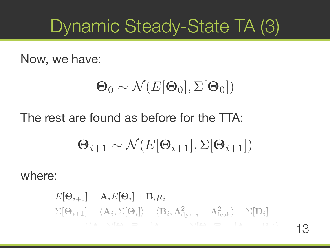## Dynamic Steady-State TA (3)

### Now, we have:

# $(\Theta_0 \sim \mathcal{N}(E[\Theta_0], \Sigma[\Theta_0]))$  $\Theta_{i+1} \sim \mathcal{N}(E[\Theta_{i+1}], \Sigma[\Theta_{i+1}])$

## The rest are found as before for the TTA:

where:

## $E[\mathbf{\Theta}_{i+1}] = \mathbf{A}_i E[\mathbf{\Theta}_i] + \mathbf{B}_i \mu_i$  $\Sigma[\mathbf{\Theta}_{i+1}] = \langle \mathbf{A}_i, \Sigma[\mathbf{\Theta}_i] \rangle + \langle \mathbf{B}_i, \mathbf{\Lambda}^2_{\text{dyn }i} + \mathbf{\Lambda}^2_{\text{leak}} \rangle + \Sigma[\mathbf{D}_i]$

13 B<sup>i</sup> ,Λleak]Ξleak ,Θi[Σ + <sup>i</sup> Λdyn]Ξdyn ,Θi[Σ ,A<sup>i</sup> +